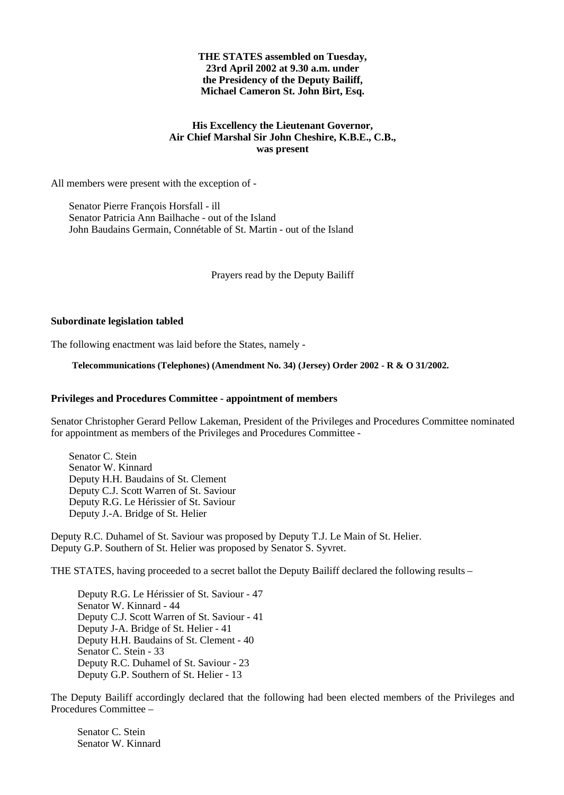## **THE STATES assembled on Tuesday, 23rd April 2002 at 9.30 a.m. under the Presidency of the Deputy Bailiff, Michael Cameron St. John Birt, Esq.**

## **His Excellency the Lieutenant Governor, Air Chief Marshal Sir John Cheshire, K.B.E., C.B., was present**

All members were present with the exception of -

 Senator Pierre François Horsfall - ill Senator Patricia Ann Bailhache - out of the Island John Baudains Germain, Connétable of St. Martin - out of the Island

Prayers read by the Deputy Bailiff

## **Subordinate legislation tabled**

The following enactment was laid before the States, namely -

### **Telecommunications (Telephones) (Amendment No. 34) (Jersey) Order 2002 - R & O 31/2002.**

## **Privileges and Procedures Committee - appointment of members**

Senator Christopher Gerard Pellow Lakeman, President of the Privileges and Procedures Committee nominated for appointment as members of the Privileges and Procedures Committee -

 Senator C. Stein Senator W. Kinnard Deputy H.H. Baudains of St. Clement Deputy C.J. Scott Warren of St. Saviour Deputy R.G. Le Hérissier of St. Saviour Deputy J.-A. Bridge of St. Helier

Deputy R.C. Duhamel of St. Saviour was proposed by Deputy T.J. Le Main of St. Helier. Deputy G.P. Southern of St. Helier was proposed by Senator S. Syvret.

THE STATES, having proceeded to a secret ballot the Deputy Bailiff declared the following results –

Deputy R.G. Le Hérissier of St. Saviour - 47 Senator W. Kinnard - 44 Deputy C.J. Scott Warren of St. Saviour - 41 Deputy J-A. Bridge of St. Helier - 41 Deputy H.H. Baudains of St. Clement - 40 Senator C. Stein - 33 Deputy R.C. Duhamel of St. Saviour - 23 Deputy G.P. Southern of St. Helier - 13

The Deputy Bailiff accordingly declared that the following had been elected members of the Privileges and Procedures Committee –

Senator C. Stein Senator W. Kinnard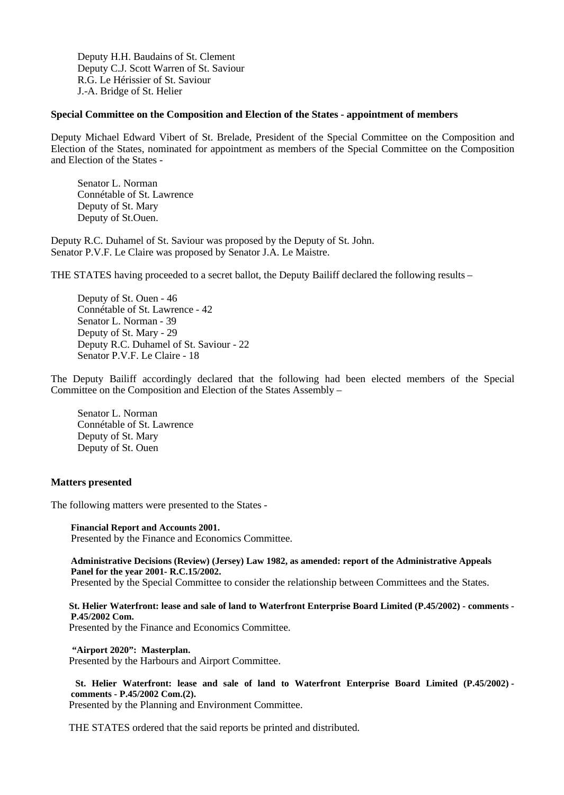Deputy H.H. Baudains of St. Clement Deputy C.J. Scott Warren of St. Saviour R.G. Le Hérissier of St. Saviour J.-A. Bridge of St. Helier

## **Special Committee on the Composition and Election of the States - appointment of members**

Deputy Michael Edward Vibert of St. Brelade, President of the Special Committee on the Composition and Election of the States, nominated for appointment as members of the Special Committee on the Composition and Election of the States -

Senator L. Norman Connétable of St. Lawrence Deputy of St. Mary Deputy of St.Ouen.

Deputy R.C. Duhamel of St. Saviour was proposed by the Deputy of St. John. Senator P.V.F. Le Claire was proposed by Senator J.A. Le Maistre.

THE STATES having proceeded to a secret ballot, the Deputy Bailiff declared the following results –

Deputy of St. Ouen - 46 Connétable of St. Lawrence - 42 Senator L. Norman - 39 Deputy of St. Mary - 29 Deputy R.C. Duhamel of St. Saviour - 22 Senator P.V.F. Le Claire - 18

The Deputy Bailiff accordingly declared that the following had been elected members of the Special Committee on the Composition and Election of the States Assembly –

Senator L. Norman Connétable of St. Lawrence Deputy of St. Mary Deputy of St. Ouen

### **Matters presented**

The following matters were presented to the States -

**Financial Report and Accounts 2001.** Presented by the Finance and Economics Committee.

**Administrative Decisions (Review) (Jersey) Law 1982, as amended: report of the Administrative Appeals Panel for the year 2001- R.C.15/2002.**

Presented by the Special Committee to consider the relationship between Committees and the States.

 **St. Helier Waterfront: lease and sale of land to Waterfront Enterprise Board Limited (P.45/2002) - comments - P.45/2002 Com.**

Presented by the Finance and Economics Committee.

 **"Airport 2020": Masterplan.**

Presented by the Harbours and Airport Committee.

 **St. Helier Waterfront: lease and sale of land to Waterfront Enterprise Board Limited (P.45/2002) comments - P.45/2002 Com.(2).** Presented by the Planning and Environment Committee.

THE STATES ordered that the said reports be printed and distributed.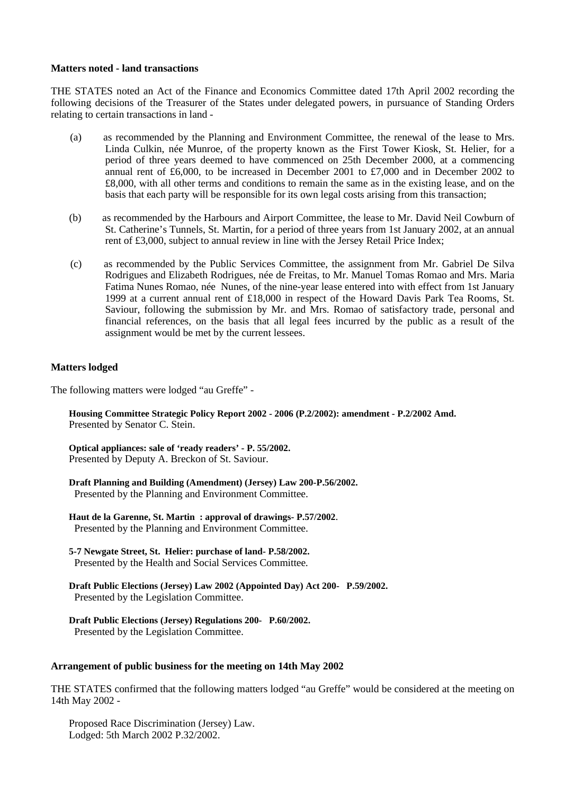## **Matters noted - land transactions**

THE STATES noted an Act of the Finance and Economics Committee dated 17th April 2002 recording the following decisions of the Treasurer of the States under delegated powers, in pursuance of Standing Orders relating to certain transactions in land -

- (a) as recommended by the Planning and Environment Committee, the renewal of the lease to Mrs. Linda Culkin, née Munroe, of the property known as the First Tower Kiosk, St. Helier, for a period of three years deemed to have commenced on 25th December 2000, at a commencing annual rent of £6,000, to be increased in December 2001 to £7,000 and in December 2002 to £8,000, with all other terms and conditions to remain the same as in the existing lease, and on the basis that each party will be responsible for its own legal costs arising from this transaction;
- (b) as recommended by the Harbours and Airport Committee, the lease to Mr. David Neil Cowburn of St. Catherine's Tunnels, St. Martin, for a period of three years from 1st January 2002, at an annual rent of £3,000, subject to annual review in line with the Jersey Retail Price Index;
- (c) as recommended by the Public Services Committee, the assignment from Mr. Gabriel De Silva Rodrigues and Elizabeth Rodrigues, née de Freitas, to Mr. Manuel Tomas Romao and Mrs. Maria Fatima Nunes Romao, née Nunes, of the nine-year lease entered into with effect from 1st January 1999 at a current annual rent of £18,000 in respect of the Howard Davis Park Tea Rooms, St. Saviour, following the submission by Mr. and Mrs. Romao of satisfactory trade, personal and financial references, on the basis that all legal fees incurred by the public as a result of the assignment would be met by the current lessees.

## **Matters lodged**

The following matters were lodged "au Greffe" -

 **Housing Committee Strategic Policy Report 2002 - 2006 (P.2/2002): amendment - P.2/2002 Amd.** Presented by Senator C. Stein.

 **Optical appliances: sale of 'ready readers' - P. 55/2002.** Presented by Deputy A. Breckon of St. Saviour.

 **Draft Planning and Building (Amendment) (Jersey) Law 200-P.56/2002.** Presented by the Planning and Environment Committee.

 **Haut de la Garenne, St. Martin : approval of drawings- P.57/2002**. Presented by the Planning and Environment Committee.

 **5-7 Newgate Street, St. Helier: purchase of land- P.58/2002.** Presented by the Health and Social Services Committee*.*

**Draft Public Elections (Jersey) Law 2002 (Appointed Day) Act 200- P.59/2002.** Presented by the Legislation Committee.

 **Draft Public Elections (Jersey) Regulations 200- P.60/2002.** Presented by the Legislation Committee.

### **Arrangement of public business for the meeting on 14th May 2002**

THE STATES confirmed that the following matters lodged "au Greffe" would be considered at the meeting on 14th May 2002 -

 Proposed Race Discrimination (Jersey) Law. Lodged: 5th March 2002 P.32/2002.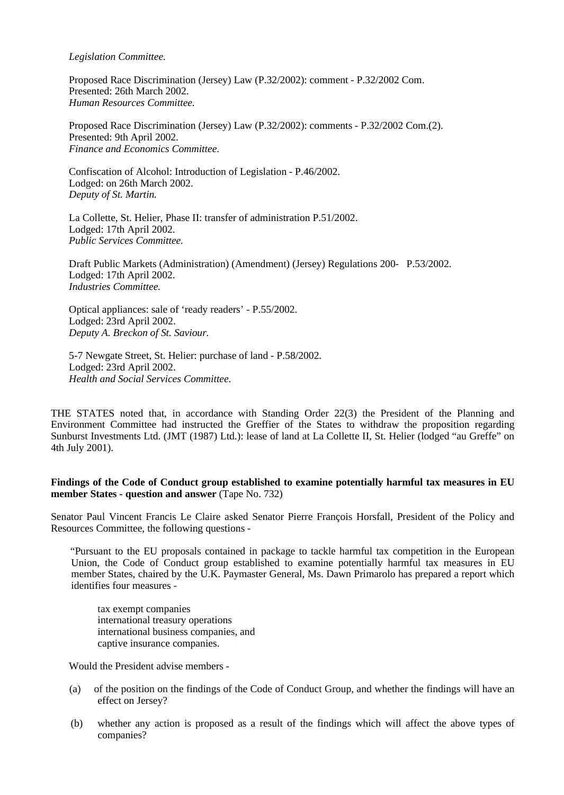*Legislation Committee.*

 Proposed Race Discrimination (Jersey) Law (P.32/2002): comment - P.32/2002 Com. Presented: 26th March 2002. *Human Resources Committee.*

 Proposed Race Discrimination (Jersey) Law (P.32/2002): comments - P.32/2002 Com.(2). Presented: 9th April 2002. *Finance and Economics Committee.*

 Confiscation of Alcohol: Introduction of Legislation - P.46/2002. Lodged: on 26th March 2002.  *Deputy of St. Martin.*

 La Collette, St. Helier, Phase II: transfer of administration P.51/2002. Lodged: 17th April 2002. *Public Services Committee.*

 Draft Public Markets (Administration) (Amendment) (Jersey) Regulations 200- P.53/2002. Lodged: 17th April 2002. *Industries Committee.*

 Optical appliances: sale of 'ready readers' - P.55/2002. Lodged: 23rd April 2002. *Deputy A. Breckon of St. Saviour.*

 5-7 Newgate Street, St. Helier: purchase of land - P.58/2002. Lodged: 23rd April 2002. *Health and Social Services Committee.*

THE STATES noted that, in accordance with Standing Order 22(3) the President of the Planning and Environment Committee had instructed the Greffier of the States to withdraw the proposition regarding Sunburst Investments Ltd. (JMT (1987) Ltd.): lease of land at La Collette II, St. Helier (lodged "au Greffe" on 4th July 2001).

## **Findings of the Code of Conduct group established to examine potentially harmful tax measures in EU member States - question and answer** (Tape No. 732)

Senator Paul Vincent Francis Le Claire asked Senator Pierre François Horsfall, President of the Policy and Resources Committee, the following questions -

 "Pursuant to the EU proposals contained in package to tackle harmful tax competition in the European Union, the Code of Conduct group established to examine potentially harmful tax measures in EU member States, chaired by the U.K. Paymaster General, Ms. Dawn Primarolo has prepared a report which identifies four measures -

tax exempt companies international treasury operations international business companies, and captive insurance companies.

Would the President advise members -

- (a) of the position on the findings of the Code of Conduct Group, and whether the findings will have an effect on Jersey?
- (b) whether any action is proposed as a result of the findings which will affect the above types of companies?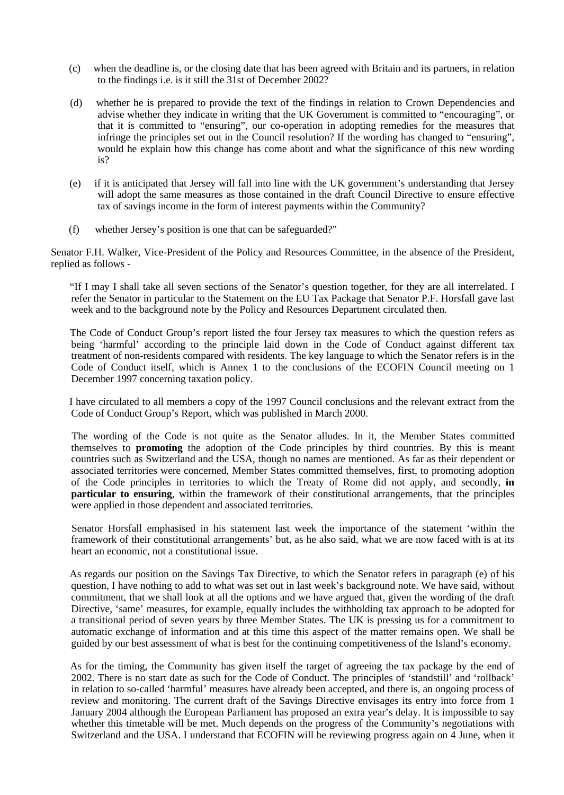- (c) when the deadline is, or the closing date that has been agreed with Britain and its partners, in relation to the findings i.e. is it still the 31st of December 2002?
- (d) whether he is prepared to provide the text of the findings in relation to Crown Dependencies and advise whether they indicate in writing that the UK Government is committed to "encouraging", or that it is committed to "ensuring", our co-operation in adopting remedies for the measures that infringe the principles set out in the Council resolution? If the wording has changed to "ensuring", would he explain how this change has come about and what the significance of this new wording is?
- (e) if it is anticipated that Jersey will fall into line with the UK government's understanding that Jersey will adopt the same measures as those contained in the draft Council Directive to ensure effective tax of savings income in the form of interest payments within the Community?
- (f) whether Jersey's position is one that can be safeguarded?"

Senator F.H. Walker, Vice-President of the Policy and Resources Committee, in the absence of the President, replied as follows -

 "If I may I shall take all seven sections of the Senator's question together, for they are all interrelated. I refer the Senator in particular to the Statement on the EU Tax Package that Senator P.F. Horsfall gave last week and to the background note by the Policy and Resources Department circulated then.

 The Code of Conduct Group's report listed the four Jersey tax measures to which the question refers as being 'harmful' according to the principle laid down in the Code of Conduct against different tax treatment of non-residents compared with residents. The key language to which the Senator refers is in the Code of Conduct itself, which is Annex 1 to the conclusions of the ECOFIN Council meeting on 1 December 1997 concerning taxation policy.

 I have circulated to all members a copy of the 1997 Council conclusions and the relevant extract from the Code of Conduct Group's Report, which was published in March 2000.

 The wording of the Code is not quite as the Senator alludes. In it, the Member States committed themselves to **promoting** the adoption of the Code principles by third countries. By this is meant countries such as Switzerland and the USA, though no names are mentioned. As far as their dependent or associated territories were concerned, Member States committed themselves, first, to promoting adoption of the Code principles in territories to which the Treaty of Rome did not apply, and secondly, **in particular to ensuring**, within the framework of their constitutional arrangements, that the principles were applied in those dependent and associated territories.

 Senator Horsfall emphasised in his statement last week the importance of the statement 'within the framework of their constitutional arrangements' but, as he also said, what we are now faced with is at its heart an economic, not a constitutional issue.

 As regards our position on the Savings Tax Directive, to which the Senator refers in paragraph (e) of his question, I have nothing to add to what was set out in last week's background note. We have said, without commitment, that we shall look at all the options and we have argued that, given the wording of the draft Directive, 'same' measures, for example, equally includes the withholding tax approach to be adopted for a transitional period of seven years by three Member States. The UK is pressing us for a commitment to automatic exchange of information and at this time this aspect of the matter remains open. We shall be guided by our best assessment of what is best for the continuing competitiveness of the Island's economy.

 As for the timing, the Community has given itself the target of agreeing the tax package by the end of 2002. There is no start date as such for the Code of Conduct. The principles of 'standstill' and 'rollback' in relation to so-called 'harmful' measures have already been accepted, and there is, an ongoing process of review and monitoring. The current draft of the Savings Directive envisages its entry into force from 1 January 2004 although the European Parliament has proposed an extra year's delay. It is impossible to say whether this timetable will be met. Much depends on the progress of the Community's negotiations with Switzerland and the USA. I understand that ECOFIN will be reviewing progress again on 4 June, when it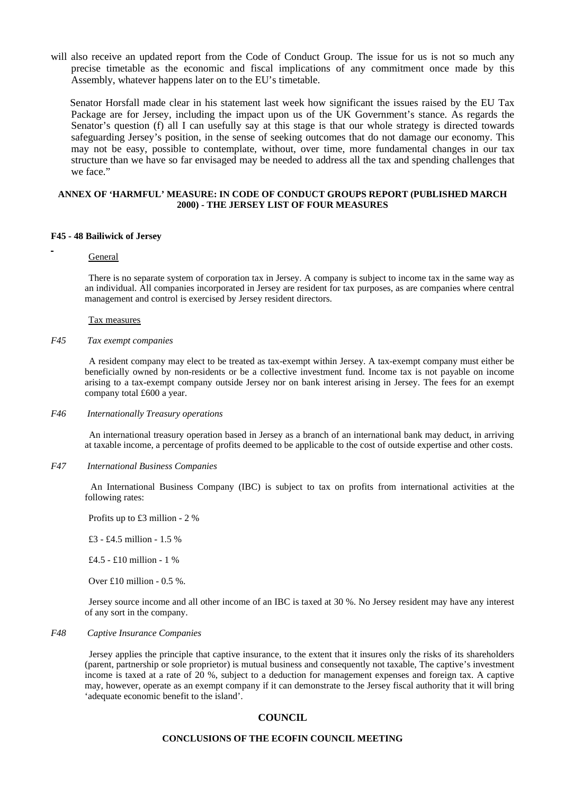will also receive an updated report from the Code of Conduct Group. The issue for us is not so much any precise timetable as the economic and fiscal implications of any commitment once made by this Assembly, whatever happens later on to the EU's timetable.

 Senator Horsfall made clear in his statement last week how significant the issues raised by the EU Tax Package are for Jersey, including the impact upon us of the UK Government's stance. As regards the Senator's question (f) all I can usefully say at this stage is that our whole strategy is directed towards safeguarding Jersey's position, in the sense of seeking outcomes that do not damage our economy. This may not be easy, possible to contemplate, without, over time, more fundamental changes in our tax structure than we have so far envisaged may be needed to address all the tax and spending challenges that we face."

### **ANNEX OF 'HARMFUL' MEASURE: IN CODE OF CONDUCT GROUPS REPORT (PUBLISHED MARCH 2000) - THE JERSEY LIST OF FOUR MEASURES**

#### **F45 - 48 Bailiwick of Jersey**

### General

 There is no separate system of corporation tax in Jersey. A company is subject to income tax in the same way as an individual. All companies incorporated in Jersey are resident for tax purposes, as are companies where central management and control is exercised by Jersey resident directors.

#### Tax measures

### *F45 Tax exempt companies*

 A resident company may elect to be treated as tax-exempt within Jersey. A tax-exempt company must either be beneficially owned by non-residents or be a collective investment fund. Income tax is not payable on income arising to a tax-exempt company outside Jersey nor on bank interest arising in Jersey. The fees for an exempt company total £600 a year.

#### *F46 Internationally Treasury operations*

 An international treasury operation based in Jersey as a branch of an international bank may deduct, in arriving at taxable income, a percentage of profits deemed to be applicable to the cost of outside expertise and other costs.

#### *F47 International Business Companies*

 An International Business Company (IBC) is subject to tax on profits from international activities at the following rates:

Profits up to £3 million - 2 %

£3 - £4.5 million - 1.5 %

£4.5 - £10 million - 1 %

Over £10 million -  $0.5$  %.

 Jersey source income and all other income of an IBC is taxed at 30 %. No Jersey resident may have any interest of any sort in the company.

#### *F48 Captive Insurance Companies*

 Jersey applies the principle that captive insurance, to the extent that it insures only the risks of its shareholders (parent, partnership or sole proprietor) is mutual business and consequently not taxable, The captive's investment income is taxed at a rate of 20 %, subject to a deduction for management expenses and foreign tax. A captive may, however, operate as an exempt company if it can demonstrate to the Jersey fiscal authority that it will bring 'adequate economic benefit to the island'.

### **COUNCIL**

#### **CONCLUSIONS OF THE ECOFIN COUNCIL MEETING**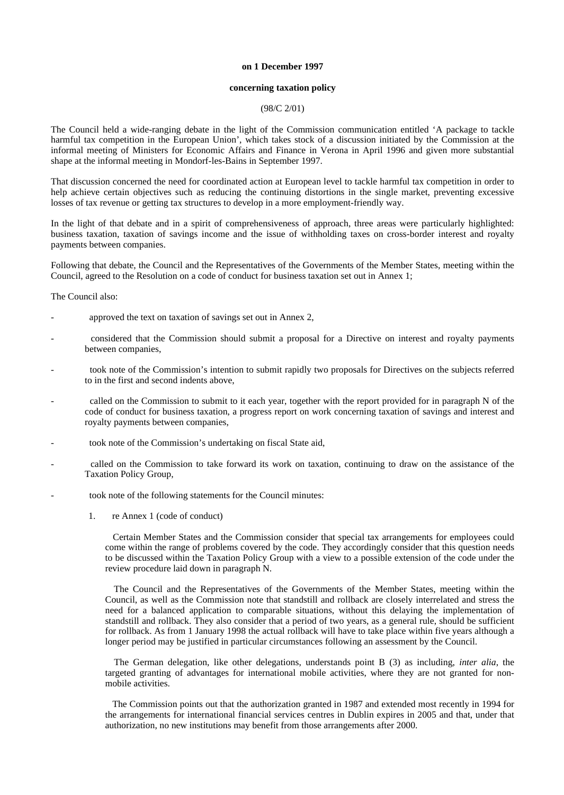#### **on 1 December 1997**

#### **concerning taxation policy**

#### (98/C 2/01)

The Council held a wide-ranging debate in the light of the Commission communication entitled 'A package to tackle harmful tax competition in the European Union', which takes stock of a discussion initiated by the Commission at the informal meeting of Ministers for Economic Affairs and Finance in Verona in April 1996 and given more substantial shape at the informal meeting in Mondorf-les-Bains in September 1997.

That discussion concerned the need for coordinated action at European level to tackle harmful tax competition in order to help achieve certain objectives such as reducing the continuing distortions in the single market, preventing excessive losses of tax revenue or getting tax structures to develop in a more employment-friendly way.

In the light of that debate and in a spirit of comprehensiveness of approach, three areas were particularly highlighted: business taxation, taxation of savings income and the issue of withholding taxes on cross-border interest and royalty payments between companies.

Following that debate, the Council and the Representatives of the Governments of the Member States, meeting within the Council, agreed to the Resolution on a code of conduct for business taxation set out in Annex 1;

The Council also:

- approved the text on taxation of savings set out in Annex 2,
- considered that the Commission should submit a proposal for a Directive on interest and royalty payments between companies,
- took note of the Commission's intention to submit rapidly two proposals for Directives on the subjects referred to in the first and second indents above,
- called on the Commission to submit to it each year, together with the report provided for in paragraph N of the code of conduct for business taxation, a progress report on work concerning taxation of savings and interest and royalty payments between companies,
- took note of the Commission's undertaking on fiscal State aid,
- called on the Commission to take forward its work on taxation, continuing to draw on the assistance of the Taxation Policy Group,
- took note of the following statements for the Council minutes:
	- 1. re Annex 1 (code of conduct)

 Certain Member States and the Commission consider that special tax arrangements for employees could come within the range of problems covered by the code. They accordingly consider that this question needs to be discussed within the Taxation Policy Group with a view to a possible extension of the code under the review procedure laid down in paragraph N.

 The Council and the Representatives of the Governments of the Member States, meeting within the Council, as well as the Commission note that standstill and rollback are closely interrelated and stress the need for a balanced application to comparable situations, without this delaying the implementation of standstill and rollback. They also consider that a period of two years, as a general rule, should be sufficient for rollback. As from 1 January 1998 the actual rollback will have to take place within five years although a longer period may be justified in particular circumstances following an assessment by the Council.

 The German delegation, like other delegations, understands point B (3) as including, *inter alia*, the targeted granting of advantages for international mobile activities, where they are not granted for nonmobile activities.

 The Commission points out that the authorization granted in 1987 and extended most recently in 1994 for the arrangements for international financial services centres in Dublin expires in 2005 and that, under that authorization, no new institutions may benefit from those arrangements after 2000.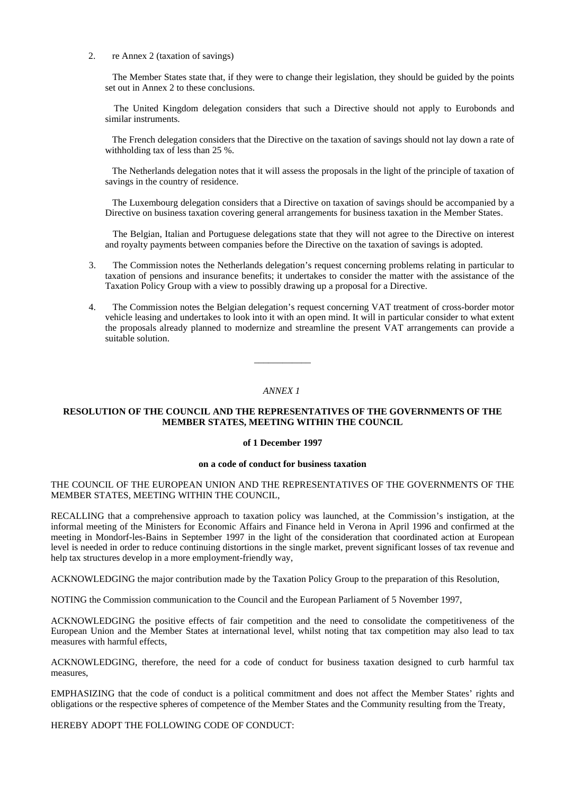2. re Annex 2 (taxation of savings)

 The Member States state that, if they were to change their legislation, they should be guided by the points set out in Annex 2 to these conclusions.

 The United Kingdom delegation considers that such a Directive should not apply to Eurobonds and similar instruments.

 The French delegation considers that the Directive on the taxation of savings should not lay down a rate of withholding tax of less than 25 %.

 The Netherlands delegation notes that it will assess the proposals in the light of the principle of taxation of savings in the country of residence.

 The Luxembourg delegation considers that a Directive on taxation of savings should be accompanied by a Directive on business taxation covering general arrangements for business taxation in the Member States.

 The Belgian, Italian and Portuguese delegations state that they will not agree to the Directive on interest and royalty payments between companies before the Directive on the taxation of savings is adopted.

- 3. The Commission notes the Netherlands delegation's request concerning problems relating in particular to taxation of pensions and insurance benefits; it undertakes to consider the matter with the assistance of the Taxation Policy Group with a view to possibly drawing up a proposal for a Directive.
- 4. The Commission notes the Belgian delegation's request concerning VAT treatment of cross-border motor vehicle leasing and undertakes to look into it with an open mind. It will in particular consider to what extent the proposals already planned to modernize and streamline the present VAT arrangements can provide a suitable solution.

#### *ANNEX 1*

\_\_\_\_\_\_\_\_\_\_\_\_

#### **RESOLUTION OF THE COUNCIL AND THE REPRESENTATIVES OF THE GOVERNMENTS OF THE MEMBER STATES, MEETING WITHIN THE COUNCIL**

#### **of 1 December 1997**

#### **on a code of conduct for business taxation**

#### THE COUNCIL OF THE EUROPEAN UNION AND THE REPRESENTATIVES OF THE GOVERNMENTS OF THE MEMBER STATES, MEETING WITHIN THE COUNCIL,

RECALLING that a comprehensive approach to taxation policy was launched, at the Commission's instigation, at the informal meeting of the Ministers for Economic Affairs and Finance held in Verona in April 1996 and confirmed at the meeting in Mondorf-les-Bains in September 1997 in the light of the consideration that coordinated action at European level is needed in order to reduce continuing distortions in the single market, prevent significant losses of tax revenue and help tax structures develop in a more employment-friendly way,

ACKNOWLEDGING the major contribution made by the Taxation Policy Group to the preparation of this Resolution,

NOTING the Commission communication to the Council and the European Parliament of 5 November 1997,

ACKNOWLEDGING the positive effects of fair competition and the need to consolidate the competitiveness of the European Union and the Member States at international level, whilst noting that tax competition may also lead to tax measures with harmful effects,

ACKNOWLEDGING, therefore, the need for a code of conduct for business taxation designed to curb harmful tax measures,

EMPHASIZING that the code of conduct is a political commitment and does not affect the Member States' rights and obligations or the respective spheres of competence of the Member States and the Community resulting from the Treaty,

HEREBY ADOPT THE FOLLOWING CODE OF CONDUCT: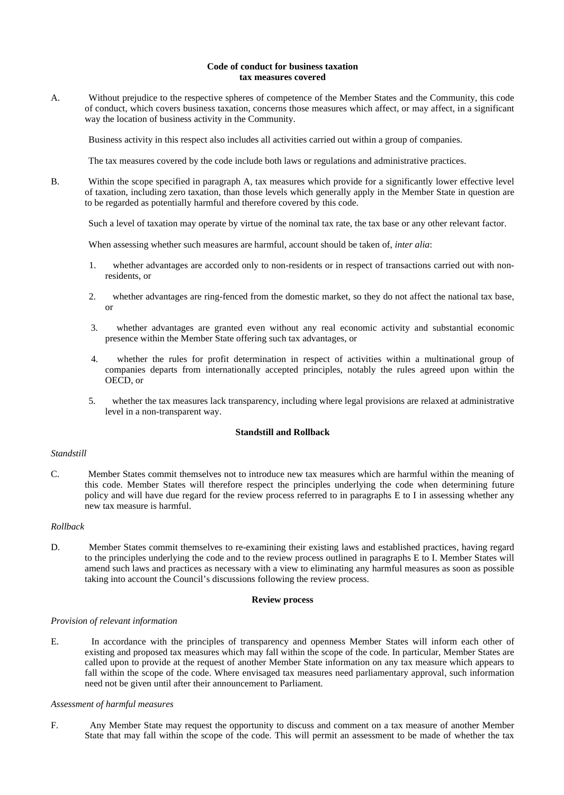#### **Code of conduct for business taxation tax measures covered**

A. Without prejudice to the respective spheres of competence of the Member States and the Community, this code of conduct, which covers business taxation, concerns those measures which affect, or may affect, in a significant way the location of business activity in the Community.

Business activity in this respect also includes all activities carried out within a group of companies.

The tax measures covered by the code include both laws or regulations and administrative practices.

B. Within the scope specified in paragraph A, tax measures which provide for a significantly lower effective level of taxation, including zero taxation, than those levels which generally apply in the Member State in question are to be regarded as potentially harmful and therefore covered by this code.

Such a level of taxation may operate by virtue of the nominal tax rate, the tax base or any other relevant factor.

When assessing whether such measures are harmful, account should be taken of, *inter alia*:

- 1. whether advantages are accorded only to non-residents or in respect of transactions carried out with nonresidents, or
- 2. whether advantages are ring-fenced from the domestic market, so they do not affect the national tax base, or
- 3. whether advantages are granted even without any real economic activity and substantial economic presence within the Member State offering such tax advantages, or
- 4. whether the rules for profit determination in respect of activities within a multinational group of companies departs from internationally accepted principles, notably the rules agreed upon within the OECD, or
- 5. whether the tax measures lack transparency, including where legal provisions are relaxed at administrative level in a non-transparent way.

### **Standstill and Rollback**

#### *Standstill*

C. Member States commit themselves not to introduce new tax measures which are harmful within the meaning of this code. Member States will therefore respect the principles underlying the code when determining future policy and will have due regard for the review process referred to in paragraphs E to I in assessing whether any new tax measure is harmful.

#### *Rollback*

D. Member States commit themselves to re-examining their existing laws and established practices, having regard to the principles underlying the code and to the review process outlined in paragraphs E to I. Member States will amend such laws and practices as necessary with a view to eliminating any harmful measures as soon as possible taking into account the Council's discussions following the review process.

#### **Review process**

#### *Provision of relevant information*

E. In accordance with the principles of transparency and openness Member States will inform each other of existing and proposed tax measures which may fall within the scope of the code. In particular, Member States are called upon to provide at the request of another Member State information on any tax measure which appears to fall within the scope of the code. Where envisaged tax measures need parliamentary approval, such information need not be given until after their announcement to Parliament.

#### *Assessment of harmful measures*

F. Any Member State may request the opportunity to discuss and comment on a tax measure of another Member State that may fall within the scope of the code. This will permit an assessment to be made of whether the tax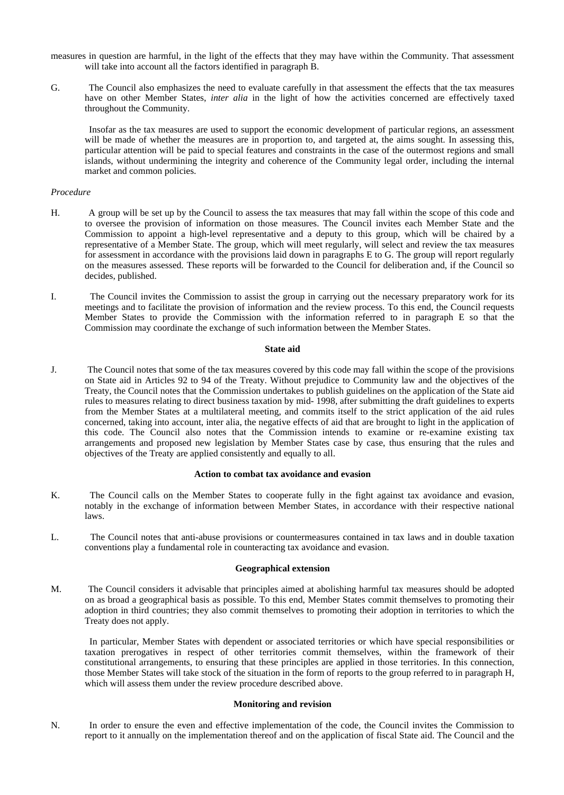measures in question are harmful, in the light of the effects that they may have within the Community. That assessment will take into account all the factors identified in paragraph B.

G. The Council also emphasizes the need to evaluate carefully in that assessment the effects that the tax measures have on other Member States, *inter alia* in the light of how the activities concerned are effectively taxed throughout the Community.

 Insofar as the tax measures are used to support the economic development of particular regions, an assessment will be made of whether the measures are in proportion to, and targeted at, the aims sought. In assessing this, particular attention will be paid to special features and constraints in the case of the outermost regions and small islands, without undermining the integrity and coherence of the Community legal order, including the internal market and common policies.

#### *Procedure*

- H. A group will be set up by the Council to assess the tax measures that may fall within the scope of this code and to oversee the provision of information on those measures. The Council invites each Member State and the Commission to appoint a high-level representative and a deputy to this group, which will be chaired by a representative of a Member State. The group, which will meet regularly, will select and review the tax measures for assessment in accordance with the provisions laid down in paragraphs E to G. The group will report regularly on the measures assessed. These reports will be forwarded to the Council for deliberation and, if the Council so decides, published.
- I. The Council invites the Commission to assist the group in carrying out the necessary preparatory work for its meetings and to facilitate the provision of information and the review process. To this end, the Council requests Member States to provide the Commission with the information referred to in paragraph E so that the Commission may coordinate the exchange of such information between the Member States.

#### **State aid**

J. The Council notes that some of the tax measures covered by this code may fall within the scope of the provisions on State aid in Articles 92 to 94 of the Treaty. Without prejudice to Community law and the objectives of the Treaty, the Council notes that the Commission undertakes to publish guidelines on the application of the State aid rules to measures relating to direct business taxation by mid- 1998, after submitting the draft guidelines to experts from the Member States at a multilateral meeting, and commits itself to the strict application of the aid rules concerned, taking into account, inter alia, the negative effects of aid that are brought to light in the application of this code. The Council also notes that the Commission intends to examine or re-examine existing tax arrangements and proposed new legislation by Member States case by case, thus ensuring that the rules and objectives of the Treaty are applied consistently and equally to all.

#### **Action to combat tax avoidance and evasion**

- K. The Council calls on the Member States to cooperate fully in the fight against tax avoidance and evasion, notably in the exchange of information between Member States, in accordance with their respective national laws.
- L. The Council notes that anti-abuse provisions or countermeasures contained in tax laws and in double taxation conventions play a fundamental role in counteracting tax avoidance and evasion.

#### **Geographical extension**

M. The Council considers it advisable that principles aimed at abolishing harmful tax measures should be adopted on as broad a geographical basis as possible. To this end, Member States commit themselves to promoting their adoption in third countries; they also commit themselves to promoting their adoption in territories to which the Treaty does not apply.

 In particular, Member States with dependent or associated territories or which have special responsibilities or taxation prerogatives in respect of other territories commit themselves, within the framework of their constitutional arrangements, to ensuring that these principles are applied in those territories. In this connection, those Member States will take stock of the situation in the form of reports to the group referred to in paragraph H, which will assess them under the review procedure described above.

#### **Monitoring and revision**

N. In order to ensure the even and effective implementation of the code, the Council invites the Commission to report to it annually on the implementation thereof and on the application of fiscal State aid. The Council and the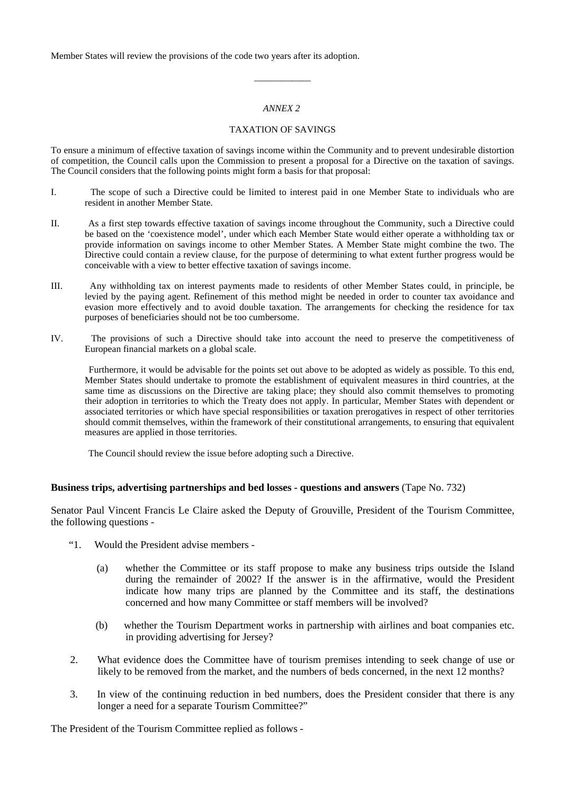Member States will review the provisions of the code two years after its adoption.

## *ANNEX 2*

\_\_\_\_\_\_\_\_\_\_\_\_

## TAXATION OF SAVINGS

To ensure a minimum of effective taxation of savings income within the Community and to prevent undesirable distortion of competition, the Council calls upon the Commission to present a proposal for a Directive on the taxation of savings. The Council considers that the following points might form a basis for that proposal:

- I. The scope of such a Directive could be limited to interest paid in one Member State to individuals who are resident in another Member State.
- II. As a first step towards effective taxation of savings income throughout the Community, such a Directive could be based on the 'coexistence model', under which each Member State would either operate a withholding tax or provide information on savings income to other Member States. A Member State might combine the two. The Directive could contain a review clause, for the purpose of determining to what extent further progress would be conceivable with a view to better effective taxation of savings income.
- III. Any withholding tax on interest payments made to residents of other Member States could, in principle, be levied by the paying agent. Refinement of this method might be needed in order to counter tax avoidance and evasion more effectively and to avoid double taxation. The arrangements for checking the residence for tax purposes of beneficiaries should not be too cumbersome.
- IV. The provisions of such a Directive should take into account the need to preserve the competitiveness of European financial markets on a global scale.

 Furthermore, it would be advisable for the points set out above to be adopted as widely as possible. To this end, Member States should undertake to promote the establishment of equivalent measures in third countries, at the same time as discussions on the Directive are taking place; they should also commit themselves to promoting their adoption in territories to which the Treaty does not apply. In particular, Member States with dependent or associated territories or which have special responsibilities or taxation prerogatives in respect of other territories should commit themselves, within the framework of their constitutional arrangements, to ensuring that equivalent measures are applied in those territories.

The Council should review the issue before adopting such a Directive.

### **Business trips, advertising partnerships and bed losses - questions and answers** (Tape No. 732)

Senator Paul Vincent Francis Le Claire asked the Deputy of Grouville, President of the Tourism Committee, the following questions -

- "1. Would the President advise members
	- (a) whether the Committee or its staff propose to make any business trips outside the Island during the remainder of 2002? If the answer is in the affirmative, would the President indicate how many trips are planned by the Committee and its staff, the destinations concerned and how many Committee or staff members will be involved?
	- (b) whether the Tourism Department works in partnership with airlines and boat companies etc. in providing advertising for Jersey?
- 2. What evidence does the Committee have of tourism premises intending to seek change of use or likely to be removed from the market, and the numbers of beds concerned, in the next 12 months?
- 3. In view of the continuing reduction in bed numbers, does the President consider that there is any longer a need for a separate Tourism Committee?"

The President of the Tourism Committee replied as follows -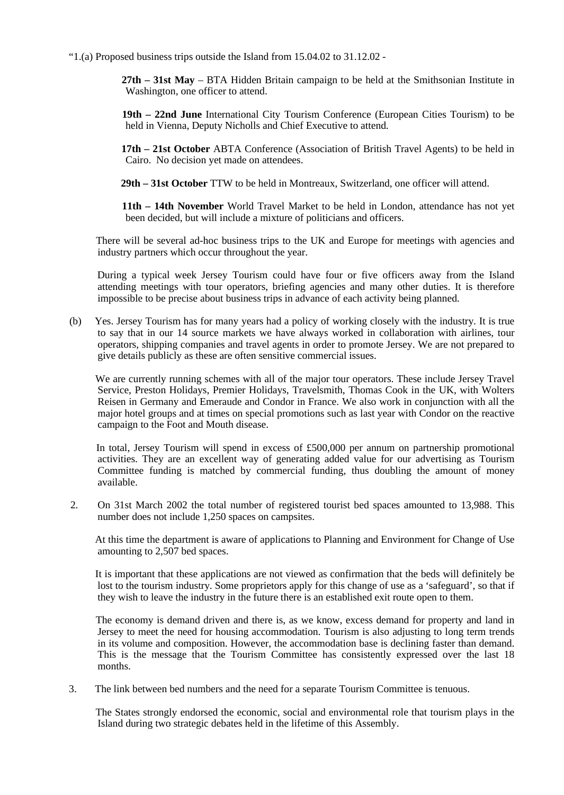"1.(a) Proposed business trips outside the Island from 15.04.02 to 31.12.02 -

 **27th – 31st May** – BTA Hidden Britain campaign to be held at the Smithsonian Institute in Washington, one officer to attend.

 **19th – 22nd June** International City Tourism Conference (European Cities Tourism) to be held in Vienna, Deputy Nicholls and Chief Executive to attend.

 **17th – 21st October** ABTA Conference (Association of British Travel Agents) to be held in Cairo. No decision yet made on attendees.

 **29th – 31st October** TTW to be held in Montreaux, Switzerland, one officer will attend.

 **11th – 14th November** World Travel Market to be held in London, attendance has not yet been decided, but will include a mixture of politicians and officers.

 There will be several ad-hoc business trips to the UK and Europe for meetings with agencies and industry partners which occur throughout the year.

 During a typical week Jersey Tourism could have four or five officers away from the Island attending meetings with tour operators, briefing agencies and many other duties. It is therefore impossible to be precise about business trips in advance of each activity being planned.

 (b) Yes. Jersey Tourism has for many years had a policy of working closely with the industry. It is true to say that in our 14 source markets we have always worked in collaboration with airlines, tour operators, shipping companies and travel agents in order to promote Jersey. We are not prepared to give details publicly as these are often sensitive commercial issues.

 We are currently running schemes with all of the major tour operators. These include Jersey Travel Service, Preston Holidays, Premier Holidays, Travelsmith, Thomas Cook in the UK, with Wolters Reisen in Germany and Emeraude and Condor in France. We also work in conjunction with all the major hotel groups and at times on special promotions such as last year with Condor on the reactive campaign to the Foot and Mouth disease.

 In total, Jersey Tourism will spend in excess of £500,000 per annum on partnership promotional activities. They are an excellent way of generating added value for our advertising as Tourism Committee funding is matched by commercial funding, thus doubling the amount of money available.

 2. On 31st March 2002 the total number of registered tourist bed spaces amounted to 13,988. This number does not include 1,250 spaces on campsites.

 At this time the department is aware of applications to Planning and Environment for Change of Use amounting to 2,507 bed spaces.

 It is important that these applications are not viewed as confirmation that the beds will definitely be lost to the tourism industry. Some proprietors apply for this change of use as a 'safeguard', so that if they wish to leave the industry in the future there is an established exit route open to them.

 The economy is demand driven and there is, as we know, excess demand for property and land in Jersey to meet the need for housing accommodation. Tourism is also adjusting to long term trends in its volume and composition. However, the accommodation base is declining faster than demand. This is the message that the Tourism Committee has consistently expressed over the last 18 months.

3. The link between bed numbers and the need for a separate Tourism Committee is tenuous.

 The States strongly endorsed the economic, social and environmental role that tourism plays in the Island during two strategic debates held in the lifetime of this Assembly.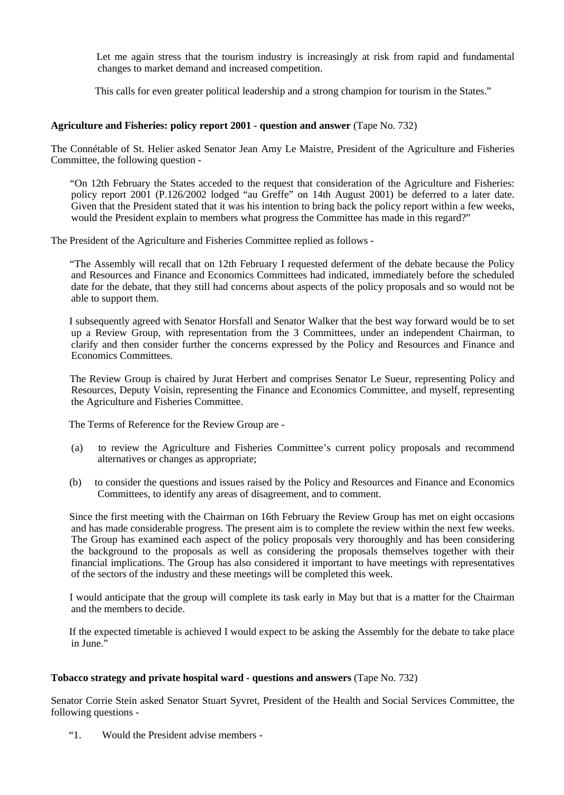Let me again stress that the tourism industry is increasingly at risk from rapid and fundamental changes to market demand and increased competition.

This calls for even greater political leadership and a strong champion for tourism in the States."

## **Agriculture and Fisheries: policy report 2001 - question and answer** (Tape No. 732)

The Connétable of St. Helier asked Senator Jean Amy Le Maistre, President of the Agriculture and Fisheries Committee, the following question -

 "On 12th February the States acceded to the request that consideration of the Agriculture and Fisheries: policy report 2001 (P.126/2002 lodged "au Greffe" on 14th August 2001) be deferred to a later date. Given that the President stated that it was his intention to bring back the policy report within a few weeks, would the President explain to members what progress the Committee has made in this regard?"

The President of the Agriculture and Fisheries Committee replied as follows -

 "The Assembly will recall that on 12th February I requested deferment of the debate because the Policy and Resources and Finance and Economics Committees had indicated, immediately before the scheduled date for the debate, that they still had concerns about aspects of the policy proposals and so would not be able to support them.

 I subsequently agreed with Senator Horsfall and Senator Walker that the best way forward would be to set up a Review Group, with representation from the 3 Committees, under an independent Chairman, to clarify and then consider further the concerns expressed by the Policy and Resources and Finance and Economics Committees.

 The Review Group is chaired by Jurat Herbert and comprises Senator Le Sueur, representing Policy and Resources, Deputy Voisin, representing the Finance and Economics Committee, and myself, representing the Agriculture and Fisheries Committee.

The Terms of Reference for the Review Group are -

- (a) to review the Agriculture and Fisheries Committee's current policy proposals and recommend alternatives or changes as appropriate;
- (b) to consider the questions and issues raised by the Policy and Resources and Finance and Economics Committees, to identify any areas of disagreement, and to comment.

 Since the first meeting with the Chairman on 16th February the Review Group has met on eight occasions and has made considerable progress. The present aim is to complete the review within the next few weeks. The Group has examined each aspect of the policy proposals very thoroughly and has been considering the background to the proposals as well as considering the proposals themselves together with their financial implications. The Group has also considered it important to have meetings with representatives of the sectors of the industry and these meetings will be completed this week.

 I would anticipate that the group will complete its task early in May but that is a matter for the Chairman and the members to decide.

 If the expected timetable is achieved I would expect to be asking the Assembly for the debate to take place in June."

## **Tobacco strategy and private hospital ward - questions and answers** (Tape No. 732)

Senator Corrie Stein asked Senator Stuart Syvret, President of the Health and Social Services Committee, the following questions -

"1. Would the President advise members -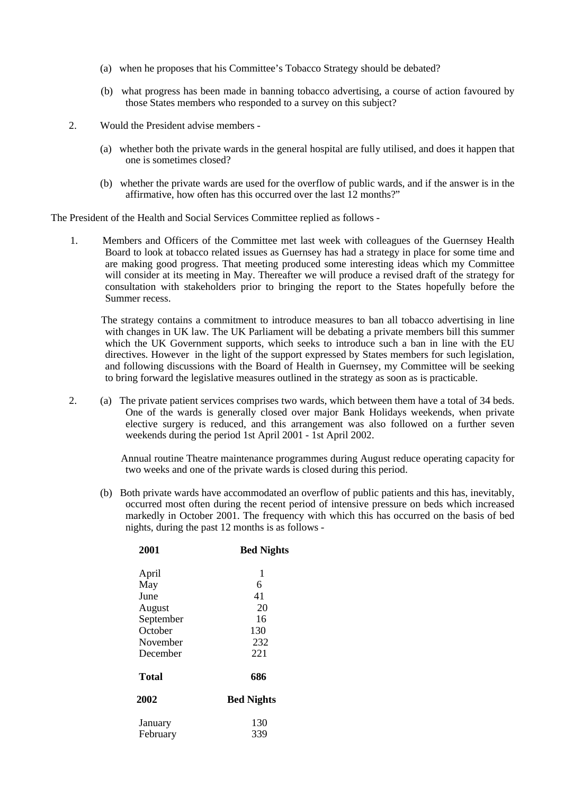- (a) when he proposes that his Committee's Tobacco Strategy should be debated?
- (b) what progress has been made in banning tobacco advertising, a course of action favoured by those States members who responded to a survey on this subject?
- 2. Would the President advise members
	- (a) whether both the private wards in the general hospital are fully utilised, and does it happen that one is sometimes closed?
	- (b) whether the private wards are used for the overflow of public wards, and if the answer is in the affirmative, how often has this occurred over the last 12 months?"

The President of the Health and Social Services Committee replied as follows -

 1. Members and Officers of the Committee met last week with colleagues of the Guernsey Health Board to look at tobacco related issues as Guernsey has had a strategy in place for some time and are making good progress. That meeting produced some interesting ideas which my Committee will consider at its meeting in May. Thereafter we will produce a revised draft of the strategy for consultation with stakeholders prior to bringing the report to the States hopefully before the Summer recess.

 The strategy contains a commitment to introduce measures to ban all tobacco advertising in line with changes in UK law. The UK Parliament will be debating a private members bill this summer which the UK Government supports, which seeks to introduce such a ban in line with the EU directives. However in the light of the support expressed by States members for such legislation, and following discussions with the Board of Health in Guernsey, my Committee will be seeking to bring forward the legislative measures outlined in the strategy as soon as is practicable.

 2. (a) The private patient services comprises two wards, which between them have a total of 34 beds. One of the wards is generally closed over major Bank Holidays weekends, when private elective surgery is reduced, and this arrangement was also followed on a further seven weekends during the period 1st April 2001 - 1st April 2002.

> Annual routine Theatre maintenance programmes during August reduce operating capacity for two weeks and one of the private wards is closed during this period.

 (b) Both private wards have accommodated an overflow of public patients and this has, inevitably, occurred most often during the recent period of intensive pressure on beds which increased markedly in October 2001. The frequency with which this has occurred on the basis of bed nights, during the past 12 months is as follows -

| <b>Bed Nights</b> |
|-------------------|
| 1                 |
| 6                 |
| 41                |
| 20                |
| 16                |
| 130               |
| 232               |
| 221               |
| 686               |
| <b>Bed Nights</b> |
| 130               |
| 339               |
|                   |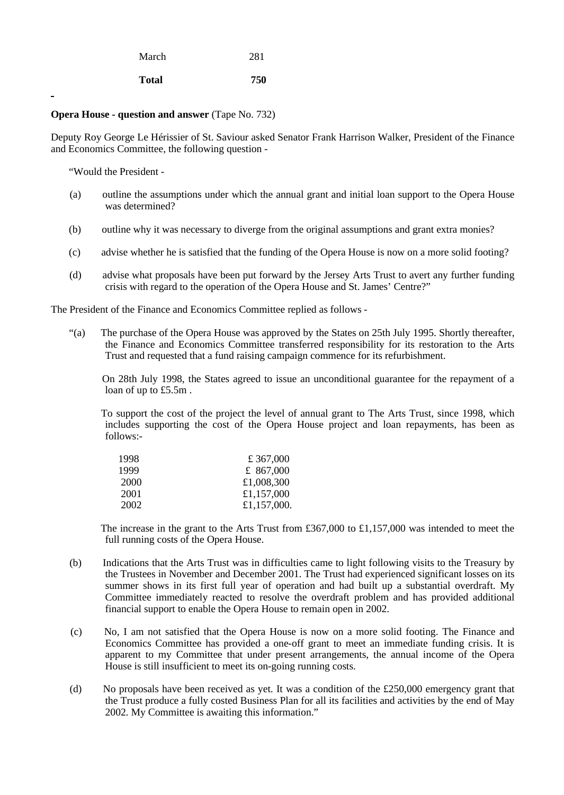| March | 281 |
|-------|-----|
|       |     |

## **Opera House - question and answer** (Tape No. 732)

**Total 750**

Deputy Roy George Le Hérissier of St. Saviour asked Senator Frank Harrison Walker, President of the Finance and Economics Committee, the following question -

"Would the President -

- (a) outline the assumptions under which the annual grant and initial loan support to the Opera House was determined?
- (b) outline why it was necessary to diverge from the original assumptions and grant extra monies?
- (c) advise whether he is satisfied that the funding of the Opera House is now on a more solid footing?
- (d) advise what proposals have been put forward by the Jersey Arts Trust to avert any further funding crisis with regard to the operation of the Opera House and St. James' Centre?"

The President of the Finance and Economics Committee replied as follows -

 "(a) The purchase of the Opera House was approved by the States on 25th July 1995. Shortly thereafter, the Finance and Economics Committee transferred responsibility for its restoration to the Arts Trust and requested that a fund raising campaign commence for its refurbishment.

 On 28th July 1998, the States agreed to issue an unconditional guarantee for the repayment of a loan of up to £5.5m .

 To support the cost of the project the level of annual grant to The Arts Trust, since 1998, which includes supporting the cost of the Opera House project and loan repayments, has been as follows:-

| 1998 | £ 367,000   |
|------|-------------|
| 1999 | £ 867,000   |
| 2000 | £1,008,300  |
| 2001 | £1,157,000  |
| 2002 | £1,157,000. |

 The increase in the grant to the Arts Trust from £367,000 to £1,157,000 was intended to meet the full running costs of the Opera House.

- (b) Indications that the Arts Trust was in difficulties came to light following visits to the Treasury by the Trustees in November and December 2001. The Trust had experienced significant losses on its summer shows in its first full year of operation and had built up a substantial overdraft. My Committee immediately reacted to resolve the overdraft problem and has provided additional financial support to enable the Opera House to remain open in 2002.
- (c) No, I am not satisfied that the Opera House is now on a more solid footing. The Finance and Economics Committee has provided a one-off grant to meet an immediate funding crisis. It is apparent to my Committee that under present arrangements, the annual income of the Opera House is still insufficient to meet its on-going running costs.
- (d) No proposals have been received as yet. It was a condition of the £250,000 emergency grant that the Trust produce a fully costed Business Plan for all its facilities and activities by the end of May 2002. My Committee is awaiting this information."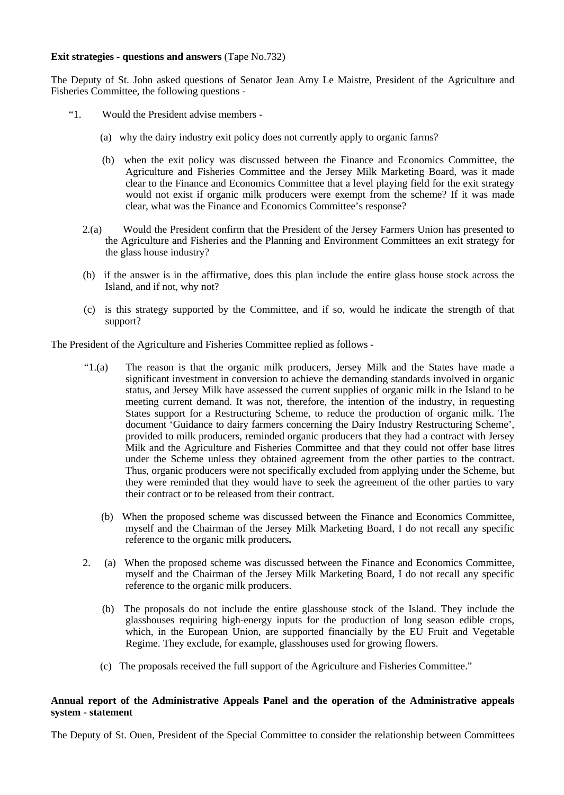## **Exit strategies - questions and answers** (Tape No.732)

The Deputy of St. John asked questions of Senator Jean Amy Le Maistre, President of the Agriculture and Fisheries Committee, the following questions -

- "1. Would the President advise members
	- (a) why the dairy industry exit policy does not currently apply to organic farms?
	- (b) when the exit policy was discussed between the Finance and Economics Committee, the Agriculture and Fisheries Committee and the Jersey Milk Marketing Board, was it made clear to the Finance and Economics Committee that a level playing field for the exit strategy would not exist if organic milk producers were exempt from the scheme? If it was made clear, what was the Finance and Economics Committee's response?
	- 2.(a) Would the President confirm that the President of the Jersey Farmers Union has presented to the Agriculture and Fisheries and the Planning and Environment Committees an exit strategy for the glass house industry?
	- (b) if the answer is in the affirmative, does this plan include the entire glass house stock across the Island, and if not, why not?
	- (c) is this strategy supported by the Committee, and if so, would he indicate the strength of that support?

The President of the Agriculture and Fisheries Committee replied as follows -

- "1.(a) The reason is that the organic milk producers, Jersey Milk and the States have made a significant investment in conversion to achieve the demanding standards involved in organic status, and Jersey Milk have assessed the current supplies of organic milk in the Island to be meeting current demand. It was not, therefore, the intention of the industry, in requesting States support for a Restructuring Scheme, to reduce the production of organic milk. The document 'Guidance to dairy farmers concerning the Dairy Industry Restructuring Scheme', provided to milk producers, reminded organic producers that they had a contract with Jersey Milk and the Agriculture and Fisheries Committee and that they could not offer base litres under the Scheme unless they obtained agreement from the other parties to the contract. Thus, organic producers were not specifically excluded from applying under the Scheme, but they were reminded that they would have to seek the agreement of the other parties to vary their contract or to be released from their contract.
	- (b) When the proposed scheme was discussed between the Finance and Economics Committee, myself and the Chairman of the Jersey Milk Marketing Board, I do not recall any specific reference to the organic milk producers**.**
- 2. (a)When the proposed scheme was discussed between the Finance and Economics Committee, myself and the Chairman of the Jersey Milk Marketing Board, I do not recall any specific reference to the organic milk producers.
	- (b) The proposals do not include the entire glasshouse stock of the Island. They include the glasshouses requiring high-energy inputs for the production of long season edible crops, which, in the European Union, are supported financially by the EU Fruit and Vegetable Regime. They exclude, for example, glasshouses used for growing flowers.
	- (c) The proposals received the full support of the Agriculture and Fisheries Committee."

## **Annual report of the Administrative Appeals Panel and the operation of the Administrative appeals system - statement**

The Deputy of St. Ouen, President of the Special Committee to consider the relationship between Committees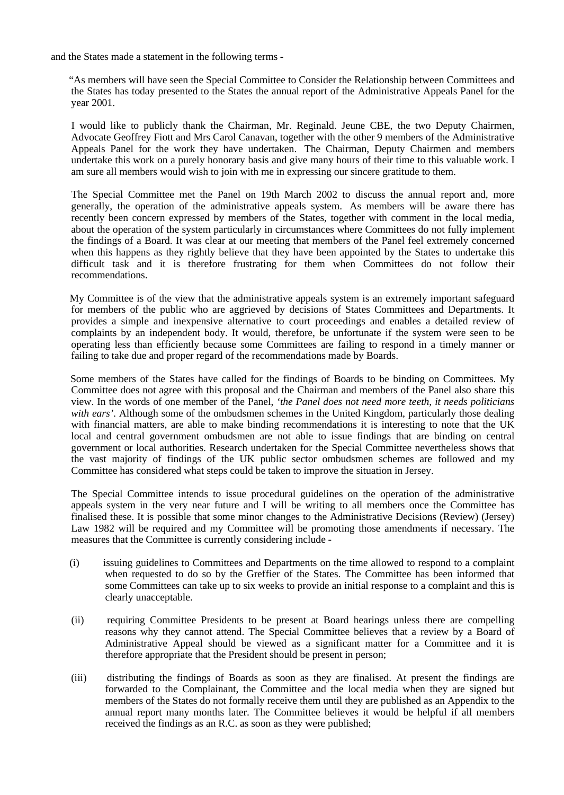and the States made a statement in the following terms -

 "As members will have seen the Special Committee to Consider the Relationship between Committees and the States has today presented to the States the annual report of the Administrative Appeals Panel for the year 2001.

 I would like to publicly thank the Chairman, Mr. Reginald. Jeune CBE, the two Deputy Chairmen, Advocate Geoffrey Fiott and Mrs Carol Canavan, together with the other 9 members of the Administrative Appeals Panel for the work they have undertaken. The Chairman, Deputy Chairmen and members undertake this work on a purely honorary basis and give many hours of their time to this valuable work. I am sure all members would wish to join with me in expressing our sincere gratitude to them.

 The Special Committee met the Panel on 19th March 2002 to discuss the annual report and, more generally, the operation of the administrative appeals system. As members will be aware there has recently been concern expressed by members of the States, together with comment in the local media, about the operation of the system particularly in circumstances where Committees do not fully implement the findings of a Board. It was clear at our meeting that members of the Panel feel extremely concerned when this happens as they rightly believe that they have been appointed by the States to undertake this difficult task and it is therefore frustrating for them when Committees do not follow their recommendations.

 My Committee is of the view that the administrative appeals system is an extremely important safeguard for members of the public who are aggrieved by decisions of States Committees and Departments. It provides a simple and inexpensive alternative to court proceedings and enables a detailed review of complaints by an independent body. It would, therefore, be unfortunate if the system were seen to be operating less than efficiently because some Committees are failing to respond in a timely manner or failing to take due and proper regard of the recommendations made by Boards.

 Some members of the States have called for the findings of Boards to be binding on Committees. My Committee does not agree with this proposal and the Chairman and members of the Panel also share this view. In the words of one member of the Panel, *'the Panel does not need more teeth, it needs politicians with ears'*. Although some of the ombudsmen schemes in the United Kingdom, particularly those dealing with financial matters, are able to make binding recommendations it is interesting to note that the UK local and central government ombudsmen are not able to issue findings that are binding on central government or local authorities. Research undertaken for the Special Committee nevertheless shows that the vast majority of findings of the UK public sector ombudsmen schemes are followed and my Committee has considered what steps could be taken to improve the situation in Jersey.

 The Special Committee intends to issue procedural guidelines on the operation of the administrative appeals system in the very near future and I will be writing to all members once the Committee has finalised these. It is possible that some minor changes to the Administrative Decisions (Review) (Jersey) Law 1982 will be required and my Committee will be promoting those amendments if necessary. The measures that the Committee is currently considering include -

- (i) issuing guidelines to Committees and Departments on the time allowed to respond to a complaint when requested to do so by the Greffier of the States. The Committee has been informed that some Committees can take up to six weeks to provide an initial response to a complaint and this is clearly unacceptable.
- (ii) requiring Committee Presidents to be present at Board hearings unless there are compelling reasons why they cannot attend. The Special Committee believes that a review by a Board of Administrative Appeal should be viewed as a significant matter for a Committee and it is therefore appropriate that the President should be present in person;
- (iii) distributing the findings of Boards as soon as they are finalised. At present the findings are forwarded to the Complainant, the Committee and the local media when they are signed but members of the States do not formally receive them until they are published as an Appendix to the annual report many months later. The Committee believes it would be helpful if all members received the findings as an R.C. as soon as they were published;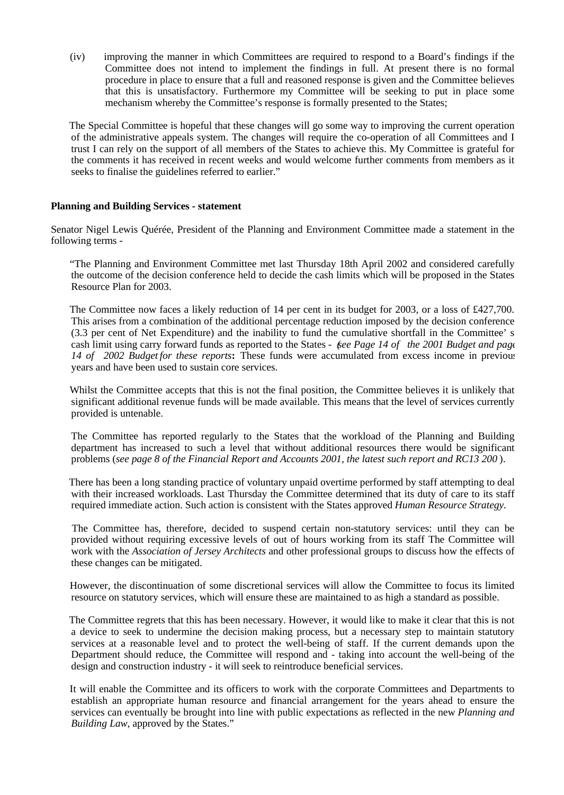(iv) improving the manner in which Committees are required to respond to a Board's findings if the Committee does not intend to implement the findings in full. At present there is no formal procedure in place to ensure that a full and reasoned response is given and the Committee believes that this is unsatisfactory. Furthermore my Committee will be seeking to put in place some mechanism whereby the Committee's response is formally presented to the States;

 The Special Committee is hopeful that these changes will go some way to improving the current operation of the administrative appeals system. The changes will require the co-operation of all Committees and I trust I can rely on the support of all members of the States to achieve this. My Committee is grateful for the comments it has received in recent weeks and would welcome further comments from members as it seeks to finalise the guidelines referred to earlier."

## **Planning and Building Services - statement**

Senator Nigel Lewis Quérée, President of the Planning and Environment Committee made a statement in the following terms -

 "The Planning and Environment Committee met last Thursday 18th April 2002 and considered carefully the outcome of the decision conference held to decide the cash limits which will be proposed in the States Resource Plan for 2003.

 The Committee now faces a likely reduction of 14 per cent in its budget for 2003, or a loss of £427,700. This arises from a combination of the additional percentage reduction imposed by the decision conference (3.3 per cent of Net Expenditure) and the inability to fund the cumulative shortfall in the Committee' s cash limit using carry forward funds as reported to the States *- (see Page 14 of the 2001 Budget and page* 14 of 2002 Budgetfor these reports: These funds were accumulated from excess income in previous years and have been used to sustain core services.

 Whilst the Committee accepts that this is not the final position, the Committee believes it is unlikely that significant additional revenue funds will be made available. This means that the level of services currently provided is untenable.

 The Committee has reported regularly to the States that the workload of the Planning and Building department has increased to such a level that without additional resources there would be significant problems (*see page 8 of the Financial Report and Accounts 2001, the latest such report and RC13 200* ).

 There has been a long standing practice of voluntary unpaid overtime performed by staff attempting to deal with their increased workloads. Last Thursday the Committee determined that its duty of care to its staff required immediate action. Such action is consistent with the States approved *Human Resource Strategy.*

The Committee has, therefore, decided to suspend certain non-statutory services: until they can be provided without requiring excessive levels of out of hours working from its staff The Committee will work with the *Association of Jersey Architects* and other professional groups to discuss how the effects of these changes can be mitigated.

 However, the discontinuation of some discretional services will allow the Committee to focus its limited resource on statutory services, which will ensure these are maintained to as high a standard as possible.

 The Committee regrets that this has been necessary. However, it would like to make it clear that this is not a device to seek to undermine the decision making process, but a necessary step to maintain statutory services at a reasonable level and to protect the well-being of staff. If the current demands upon the Department should reduce, the Committee will respond and - taking into account the well-being of the design and construction industry - it will seek to reintroduce beneficial services.

 It will enable the Committee and its officers to work with the corporate Committees and Departments to establish an appropriate human resource and financial arrangement for the years ahead to ensure the services can eventually be brought into line with public expectations as reflected in the new *Planning and Building Law*, approved by the States."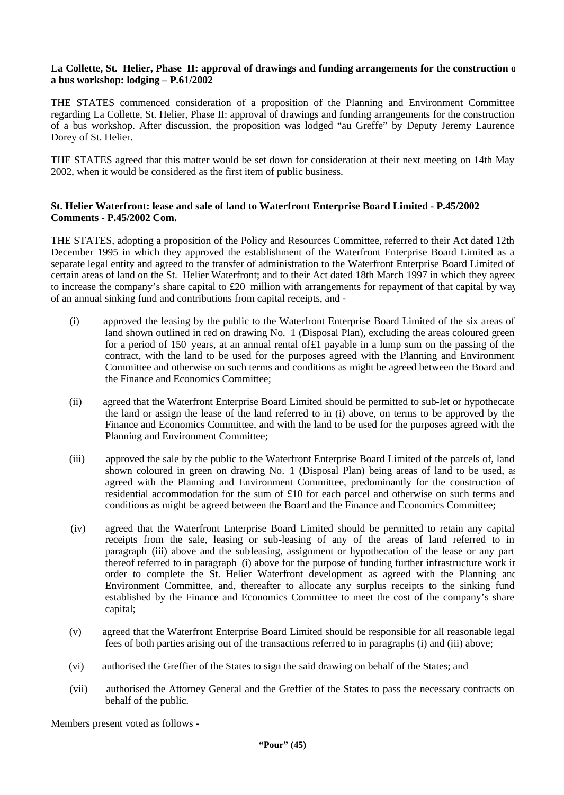## La Collette, St. Helier, Phase II: approval of drawings and funding arrangements for the construction of **a bus workshop: lodging – P.61/2002**

THE STATES commenced consideration of a proposition of the Planning and Environment Committee regarding La Collette, St. Helier, Phase II: approval of drawings and funding arrangements for the construction of a bus workshop. After discussion, the proposition was lodged "au Greffe" by Deputy Jeremy Laurence Dorey of St. Helier.

THE STATES agreed that this matter would be set down for consideration at their next meeting on 14th May 2002, when it would be considered as the first item of public business.

## **St. Helier Waterfront: lease and sale of land to Waterfront Enterprise Board Limited - P.45/2002 Comments - P.45/2002 Com.**

THE STATES, adopting a proposition of the Policy and Resources Committee, referred to their Act dated 12th December 1995 in which they approved the establishment of the Waterfront Enterprise Board Limited as a separate legal entity and agreed to the transfer of administration to the Waterfront Enterprise Board Limited of certain areas of land on the St. Helier Waterfront; and to their Act dated 18th March 1997 in which they agreed to increase the company's share capital to  $£20$  million with arrangements for repayment of that capital by way of an annual sinking fund and contributions from capital receipts, and -

- (i) approved the leasing by the public to the Waterfront Enterprise Board Limited of the six areas of land shown outlined in red on drawing No. 1 (Disposal Plan), excluding the areas coloured green for a period of 150 years, at an annual rental of£1 payable in a lump sum on the passing of the contract, with the land to be used for the purposes agreed with the Planning and Environment Committee and otherwise on such terms and conditions as might be agreed between the Board and the Finance and Economics Committee;
- (ii) agreed that the Waterfront Enterprise Board Limited should be permitted to sub-let or hypothecate the land or assign the lease of the land referred to in (i) above, on terms to be approved by the Finance and Economics Committee, and with the land to be used for the purposes agreed with the Planning and Environment Committee;
- (iii) approved the sale by the public to the Waterfront Enterprise Board Limited of the parcels of, land shown coloured in green on drawing No. 1 (Disposal Plan) being areas of land to be used, as agreed with the Planning and Environment Committee, predominantly for the construction of residential accommodation for the sum of £10 for each parcel and otherwise on such terms and conditions as might be agreed between the Board and the Finance and Economics Committee;
- (iv) agreed that the Waterfront Enterprise Board Limited should be permitted to retain any capital receipts from the sale, leasing or sub-leasing of any of the areas of land referred to in paragraph (iii) above and the subleasing, assignment or hypothecation of the lease or any part thereof referred to in paragraph (i) above for the purpose of funding further infrastructure work in order to complete the St. Helier Waterfront development as agreed with the Planning and Environment Committee, and, thereafter to allocate any surplus receipts to the sinking fund established by the Finance and Economics Committee to meet the cost of the company's share capital;
- (v) agreed that the Waterfront Enterprise Board Limited should be responsible for all reasonable legal fees of both parties arising out of the transactions referred to in paragraphs (i) and (iii) above;
- (vi) authorised the Greffier of the States to sign the said drawing on behalf of the States; and
- (vii) authorised the Attorney General and the Greffier of the States to pass the necessary contracts on behalf of the public.

Members present voted as follows **-**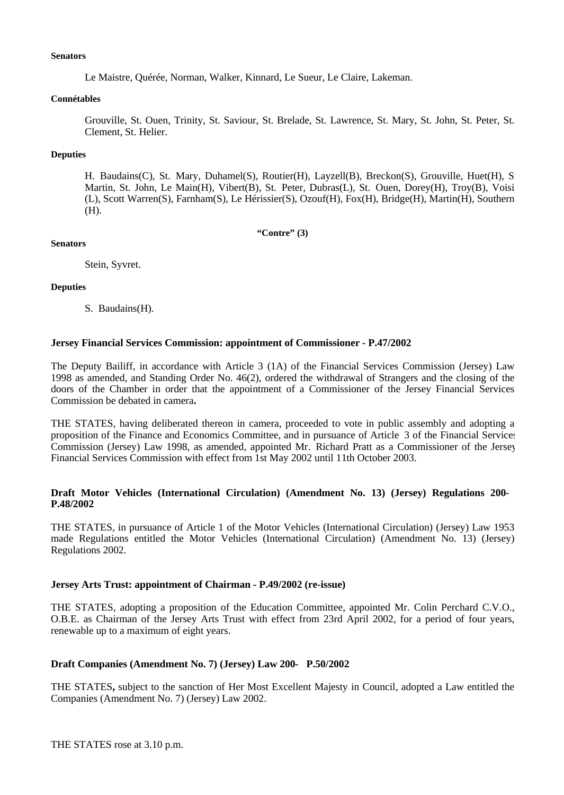### **Senators**

Le Maistre, Quérée, Norman, Walker, Kinnard, Le Sueur, Le Claire, Lakeman.

### **Connétables**

Grouville, St. Ouen, Trinity, St. Saviour, St. Brelade, St. Lawrence, St. Mary, St. John, St. Peter, St. Clement, St. Helier.

## **Deputies**

H. Baudains(C), St. Mary, Duhamel(S), Routier(H), Layzell(B), Breckon(S), Grouville, Huet(H), S. Martin, St. John, Le Main(H), Vibert(B), St. Peter, Dubras(L), St. Ouen, Dorey(H), Troy(B), Voisi (L), Scott Warren(S), Farnham(S), Le Hérissier(S), Ozouf(H), Fox(H), Bridge(H), Martin(H), Southern (H).

**"Contre" (3)**

## **Senators**

Stein, Syvret.

## **Deputies**

S. Baudains(H).

## **Jersey Financial Services Commission: appointment of Commissioner - P.47/2002**

The Deputy Bailiff, in accordance with Article 3 (1A) of the Financial Services Commission (Jersey) Law 1998 as amended, and Standing Order No. 46(2), ordered the withdrawal of Strangers and the closing of the doors of the Chamber in order that the appointment of a Commissioner of the Jersey Financial Services Commission be debated in camera**.**

THE STATES, having deliberated thereon in camera, proceeded to vote in public assembly and adopting a proposition of the Finance and Economics Committee, and in pursuance of Article 3 of the Financial Services Commission (Jersey) Law 1998, as amended, appointed Mr. Richard Pratt as a Commissioner of the Jersey Financial Services Commission with effect from 1st May 2002 until 11th October 2003.

## **Draft Motor Vehicles (International Circulation) (Amendment No. 13) (Jersey) Regulations 200- P.48/2002**

THE STATES, in pursuance of Article 1 of the Motor Vehicles (International Circulation) (Jersey) Law 1953 made Regulations entitled the Motor Vehicles (International Circulation) (Amendment No. 13) (Jersey) Regulations 2002.

## **Jersey Arts Trust: appointment of Chairman - P.49/2002 (re-issue)**

THE STATES, adopting a proposition of the Education Committee, appointed Mr. Colin Perchard C.V.O., O.B.E. as Chairman of the Jersey Arts Trust with effect from 23rd April 2002, for a period of four years, renewable up to a maximum of eight years.

## **Draft Companies (Amendment No. 7) (Jersey) Law 200- P.50/2002**

THE STATES**,** subject to the sanction of Her Most Excellent Majesty in Council, adopted a Law entitled the Companies (Amendment No. 7) (Jersey) Law 2002.